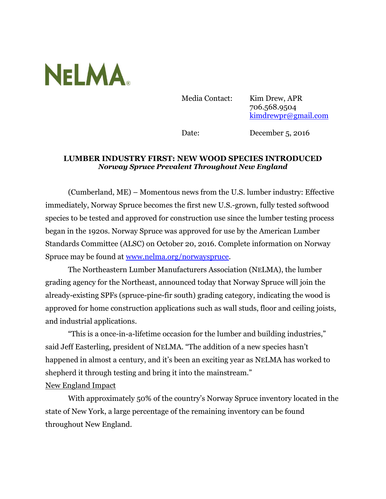

Media Contact: Kim Drew, APR 706.568.9504 [kimdrewpr@gmail.com](mailto:kimdrewpr@gmail.com)

Date: December 5, 2016

## **LUMBER INDUSTRY FIRST: NEW WOOD SPECIES INTRODUCED** *Norway Spruce Prevalent Throughout New England*

(Cumberland, ME) – Momentous news from the U.S. lumber industry: Effective immediately, Norway Spruce becomes the first new U.S.-grown, fully tested softwood species to be tested and approved for construction use since the lumber testing process began in the 1920s. Norway Spruce was approved for use by the American Lumber Standards Committee (ALSC) on October 20, 2016. Complete information on Norway Spruce may be found at [www.nelma.org/norwayspruce.](http://www.nelma.org/norwayspruce)

The Northeastern Lumber Manufacturers Association (NELMA), the lumber grading agency for the Northeast, announced today that Norway Spruce will join the already-existing SPFs (spruce-pine-fir south) grading category, indicating the wood is approved for home construction applications such as wall studs, floor and ceiling joists, and industrial applications.

"This is a once-in-a-lifetime occasion for the lumber and building industries," said Jeff Easterling, president of NELMA. "The addition of a new species hasn't happened in almost a century, and it's been an exciting year as NELMA has worked to shepherd it through testing and bring it into the mainstream."

## New England Impact

With approximately 50% of the country's Norway Spruce inventory located in the state of New York, a large percentage of the remaining inventory can be found throughout New England.